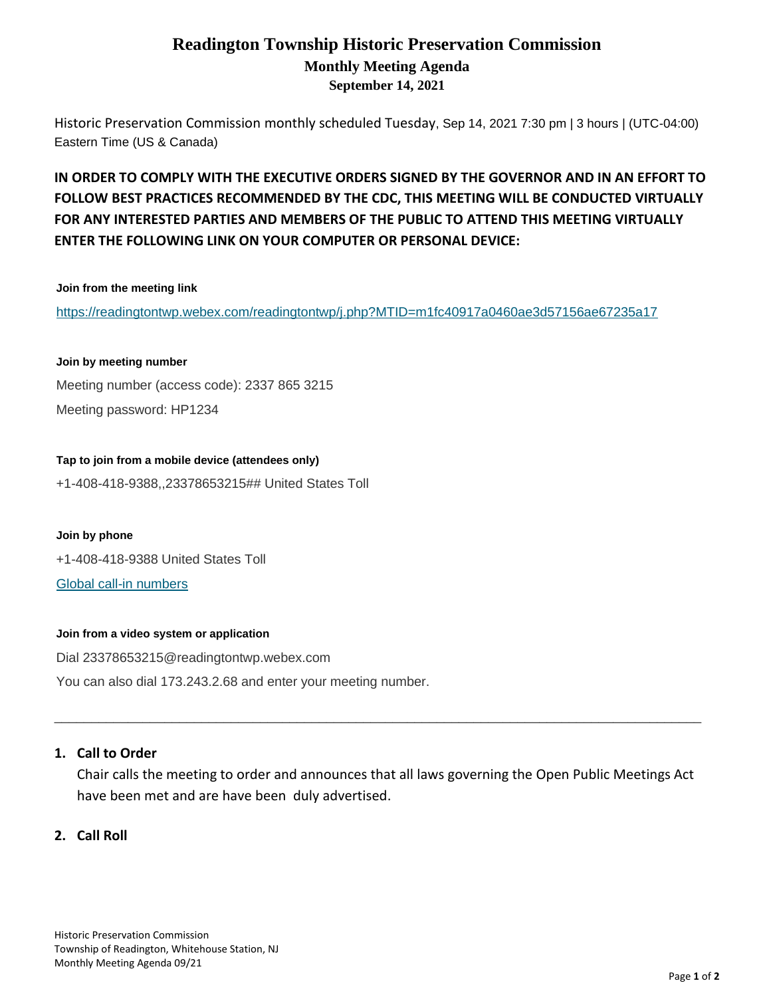# **Readington Township Historic Preservation Commission Monthly Meeting Agenda September 14, 2021**

Historic Preservation Commission monthly scheduled Tuesday, Sep 14, 2021 7:30 pm | 3 hours | (UTC-04:00) Eastern Time (US & Canada)

# **IN ORDER TO COMPLY WITH THE EXECUTIVE ORDERS SIGNED BY THE GOVERNOR AND IN AN EFFORT TO FOLLOW BEST PRACTICES RECOMMENDED BY THE CDC, THIS MEETING WILL BE CONDUCTED VIRTUALLY FOR ANY INTERESTED PARTIES AND MEMBERS OF THE PUBLIC TO ATTEND THIS MEETING VIRTUALLY ENTER THE FOLLOWING LINK ON YOUR COMPUTER OR PERSONAL DEVICE:**

#### **Join from the meeting link**

<https://readingtontwp.webex.com/readingtontwp/j.php?MTID=m1fc40917a0460ae3d57156ae67235a17>

#### **Join by meeting number**

Meeting number (access code): 2337 865 3215 Meeting password: HP1234

**Tap to join from a mobile device (attendees only)** +1-408-418-9388,,23378653215## United States Toll

**Join by phone** +1-408-418-9388 United States Toll [Global call-in numbers](https://readingtontwp.webex.com/readingtontwp/globalcallin.php?MTID=m5ceb62bea0ac613ef8d2a310f123677e)

#### **Join from a video system or application**

Dial 23378653215@readingtontwp.webex.com You can also dial 173.243.2.68 and enter your meeting number.

#### **1. Call to Order**

Chair calls the meeting to order and announces that all laws governing the Open Public Meetings Act have been met and are have been duly advertised.

 $\_$  ,  $\_$  ,  $\_$  ,  $\_$  ,  $\_$  ,  $\_$  ,  $\_$  ,  $\_$  ,  $\_$  ,  $\_$  ,  $\_$  ,  $\_$  ,  $\_$  ,  $\_$  ,  $\_$  ,  $\_$  ,  $\_$  ,  $\_$  ,  $\_$  ,  $\_$  ,  $\_$  ,  $\_$  ,  $\_$  ,  $\_$  ,  $\_$  ,  $\_$  ,  $\_$  ,  $\_$  ,  $\_$  ,  $\_$  ,  $\_$  ,  $\_$  ,  $\_$  ,  $\_$  ,  $\_$  ,  $\_$  ,  $\_$  ,

#### **2. Call Roll**